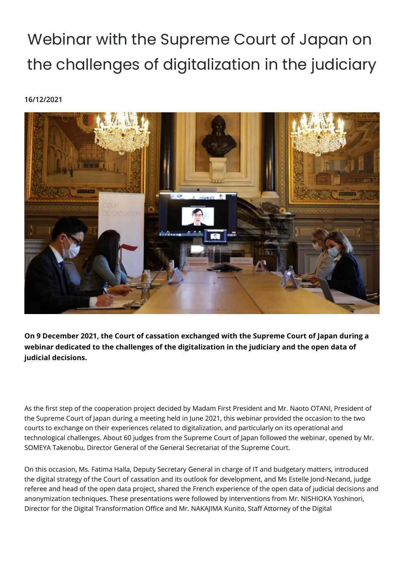## Webinar with the Supreme Court of Japan on the challenges of digitalization in the judiciary

## **16/12/2021**



**On 9 December 2021, the Court of cassation exchanged with the Supreme Court of Japan during a webinar dedicated to the challenges of the digitalization in the judiciary and the open data of judicial decisions.** 

As the first step of the cooperation project decided by Madam First President and Mr. Naoto OTANI, President of the Supreme Court of Japan during a meeting held in June 2021, this webinar provided the occasion to the two courts to exchange on their experiences related to digitalization, and particularly on its operational and technological challenges. About 60 judges from the Supreme Court of Japan followed the webinar, opened by Mr. SOMEYA Takenobu, Director General of the General Secretariat of the Supreme Court.

On this occasion, Ms. Fatima Halla, Deputy Secretary General in charge of IT and budgetary matters, introduced the digital strategy of the Court of cassation and its outlook for development, and Ms Estelle Jond-Necand, judge referee and head of the open data project, shared the French experience of the open data of judicial decisions and anonymization techniques. These presentations were followed by interventions from Mr. NISHIOKA Yoshinori, Director for the Digital Transformation Office and Mr. NAKAJIMA Kunito, Staff Attorney of the Digital